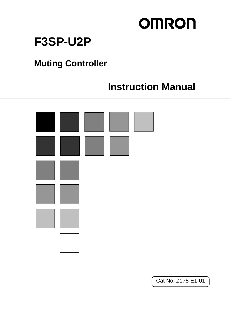# **OMRON**

# **F3SP-U2P**

# **Muting Controller**

# **Instruction Manual**



Cat No. Z175-E1-01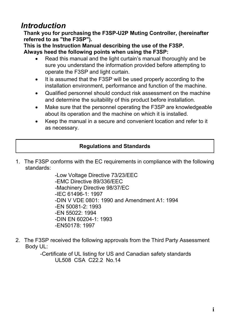### *Introduction*

**Thank you for purchasing the F3SP-U2P Muting Controller, (hereinafter referred to as "the F3SP").** 

**This is the Instruction Manual describing the use of the F3SP. Always heed the following points when using the F3SP:** 

- Read this manual and the light curtain's manual thoroughly and be sure you understand the information provided before attempting to operate the F3SP and light curtain.
- It is assumed that the F3SP will be used properly according to the installation environment, performance and function of the machine.
- Qualified personnel should conduct risk assessment on the machine and determine the suitability of this product before installation.
- Make sure that the personnel operating the F3SP are knowledgeable about its operation and the machine on which it is installed.
- Keep the manual in a secure and convenient location and refer to it as necessary.

#### **Regulations and Standards**

1. The F3SP conforms with the EC requirements in compliance with the following standards:

> -Low Voltage Directive 73/23/EEC -EMC Directive 89/336/EEC -Machinery Directive 98/37/EC -IEC 61496-1: 1997 -DIN V VDE 0801: 1990 and Amendment A1: 1994 -EN 50081-2: 1993 -EN 55022: 1994  $-DIN$  FN 60204-1: 1993 -EN50178: 1997

2. The F3SP received the following approvals from the Third Party Assessment Body UL:

> -Certificate of UL listing for US and Canadian safety standards UL508 CSA C22.2 No. 14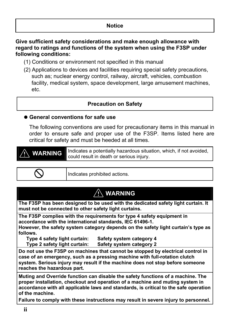#### **Notice**

#### **Give sufficient safety considerations and make enough allowance with regard to ratings and functions of the system when using the F3SP under following conditions:**

- (1) Conditions or environment not specified in this manual
- (2) Applications to devices and facilities requiring special safety precautions, such as; nuclear energy control, railway, aircraft, vehicles, combustion facility, medical system, space development, large amusement machines, etc.

#### **Precaution on Safety**

#### ● General conventions for safe use

The following conventions are used for precautionary items in this manual in order to ensure safe and proper use of the F3SP. Items listed here are critical for safety and must be heeded at all times.

**WARNING** Indicates a potentially hazardous situation, which, if not avoided, could result in death or serious injury.

$$
\mathcal{L}^{\mathcal{L}}
$$

Indicates prohibited actions.

#### **WARNING**

**The F3SP has been designed to be used with the dedicated safety light curtain. It must not be connected to other safety light curtains.**

**The F3SP complies with the requirements for type 4 safety equipment in accordance with the international standards, IEC 61496-1.** 

**However, the safety system category depends on the safety light curtain's type as follows.** 

**Type 4 safety light curtain: Safety system category 4** 

**Type 2 safety light curtain: Safety system category 2** 

**Do not use the F3SP on machines that cannot be stopped by electrical control in case of an emergency, such as a pressing machine with full-rotation clutch system. Serious injury may result if the machine does not stop before someone reaches the hazardous part.** 

**Muting and Override function can disable the safety functions of a machine. The proper installation, checkout and operation of a machine and muting system in accordance with all applicable laws and standards, is critical to the safe operation of the machine.** 

**Failure to comply with these instructions may result in severe injury to personnel.**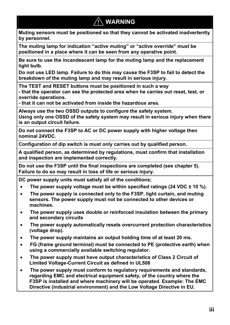### **WARNING**

**Muting sensors must be positioned so that they cannot be activated inadvertently by personnel.** 

**The muting lamp for indication "active muting" or "active override" must be positioned in a place where it can be seen from any operative point.** 

**Be sure to use the incandescent lamp for the muting lamp and the replacement light bulb.** 

**Do not use LED lamp. Failure to do this may cause the F3SP to fail to detect the breakdown of the muting lamp and may result in serious injury.** 

**The TEST and RESET buttons must be positioned in such a way** 

**- that the operator can see the protected area when he carries out reset, test, or override operations.** 

**- that it can not be activated from inside the hazardous area.** 

**Always use the two OSSD outputs to configure the safety system. Using only one OSSD of the safety system may result in serious injury when there is an output circuit failure.** 

**Do not connect the F3SP to AC or DC power supply with higher voltage then nominal 24VDC.** 

**Configuration of dip switch is must only carries out by qualified person.** 

**A qualified person, as determined by regulations, must confirm that installation and inspection are implemented correctly.** 

**Do not use the F3SP until the final inspections are completed (see chapter 5). Failure to do so may result in loss of life or serious injury.** 

**DC power supply units must satisfy all of the conditions;** 

- **The power supply voltage must be within specified ratings (24 VDC ± 10 %).**
- **The power supply is connected only to the F3SP, light curtain, and muting sensors. The power supply must not be connected to other devices or machines.**
- **The power supply uses double or reinforced insulation between the primary and secondary circuits**
- **The power supply automatically resets overcurrent protection characteristics (voltage drop).**
- **The power supply maintains an output holding time of at least 20 ms.**
- **FG (frame ground terminal) must be connected to PE (protective earth) when using a commercially available switching regulator.**
- **The power supply must have output characteristics of Class 2 Circuit of Limited Voltage-Current Circuit as defined in UL508**
- **The power supply must conform to regulatory requirements and standards, regarding EMC and electrical equipment safety, of the country where the F3SP is installed and where machinery will be operated. Example: The EMC Directive (industrial environment) and the Low Voltage Directive in EU.**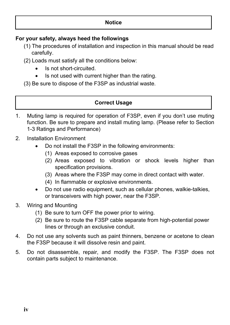#### **For your safety, always heed the followings**

- (1) The procedures of installation and inspection in this manual should be read carefully.
- (2) Loads must satisfy all the conditions below:
	- Is not short-circuited.
	- Is not used with current higher than the rating.
- (3) Be sure to dispose of the F3SP as industrial waste.

#### **Correct Usage**

- 1. Muting lamp is required for operation of F3SP, even if you don't use muting function. Be sure to prepare and install muting lamp. (Please refer to Section 1-3 Ratings and Performance)
- 2. Installation Environment
	- Do not install the F3SP in the following environments:
		- (1) Areas exposed to corrosive gases
		- (2) Areas exposed to vibration or shock levels higher than specification provisions.
		- (3) Areas where the F3SP may come in direct contact with water.
		- (4) In flammable or explosive environments.
	- Do not use radio equipment, such as cellular phones, walkie-talkies, or transceivers with high power, near the F3SP.
- 3. Wiring and Mounting
	- (1) Be sure to turn OFF the power prior to wiring.
	- (2) Be sure to route the F3SP cable separate from high-potential power lines or through an exclusive conduit.
- 4. Do not use any solvents such as paint thinners, benzene or acetone to clean the F3SP because it will dissolve resin and paint.
- 5. Do not disassemble, repair, and modify the F3SP. The F3SP does not contain parts subject to maintenance.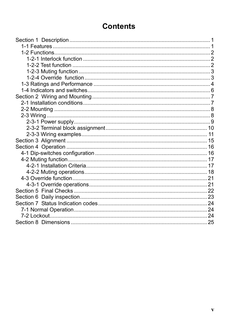### **Contents**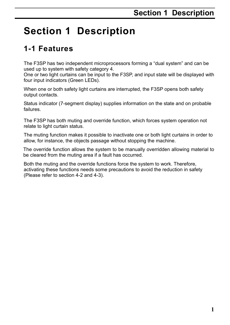# **Section 1 Description**

### **1-1 Features**

The F3SP has two independent microprocessors forming a "dual system" and can be used up to system with safety category 4.

One or two light curtains can be input to the F3SP, and input state will be displayed with four input indicators (Green LEDs).

When one or both safety light curtains are interrupted, the F3SP opens both safety output contacts.

Status indicator (7-segment display) supplies information on the state and on probable failures.

The F3SP has both muting and override function, which forces system operation not relate to light curtain status.

The muting function makes it possible to inactivate one or both light curtains in order to allow, for instance, the objects passage without stopping the machine.

The override function allows the system to be manually overridden allowing material to be cleared from the muting area if a fault has occurred.

Both the muting and the override functions force the system to work. Therefore, activating these functions needs some precautions to avoid the reduction in safety (Please refer to section 4-2 and 4-3).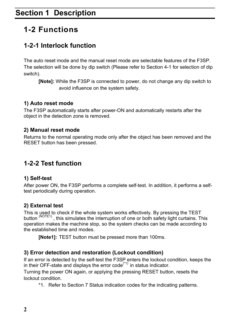### **1-2 Functions**

#### **1-2-1 Interlock function**

The auto reset mode and the manual reset mode are selectable features of the F3SP. The selection will be done by dip switch (Please refer to Section 4-1 for selection of dip switch).

**[Note]:** While the F3SP is connected to power, do not change any dip switch to avoid influence on the system safety.

#### **1) Auto reset mode**

The F3SP automatically starts after power-ON and automatically restarts after the object in the detection zone is removed.

#### **2) Manual reset mode**

Returns to the normal operating mode only after the object has been removed and the RESET button has been pressed.

#### **1-2-2 Test function**

#### **1) Self-test**

After power ON, the F3SP performs a complete self-test. In addition, it performs a selftest periodically during operation.

#### **2) External test**

This is used to check if the whole system works effectively. By pressing the TEST button (NOTE1), this simulates the interruption of one or both safety light curtains. This operation makes the machine stop, so the system checks can be made according to the established time and modes.

**[Note1]:** TEST button must be pressed more than 100ms.

#### **3) Error detection and restoration (Lockout condition)**

If an error is detected by the self-test the F3SP enters the lockout condition, keeps the in their OFF-state and displays the error  $code^{(*1)}$  in status indicator.

Turning the power ON again, or applying the pressing RESET button, resets the lockout condition.

\*1. Refer to Section 7 Status indication codes for the indicating patterns.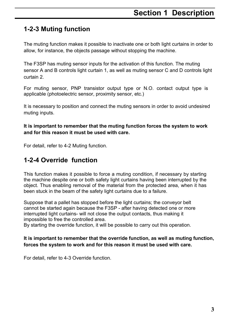### **Section 1 Description**

#### **1-2-3 Muting function**

The muting function makes it possible to inactivate one or both light curtains in order to allow, for instance, the objects passage without stopping the machine.

The F3SP has muting sensor inputs for the activation of this function. The muting sensor A and B controls light curtain 1, as well as muting sensor C and D controls light curtain 2.

For muting sensor, PNP transistor output type or N.O. contact output type is applicable (photoelectric sensor, proximity sensor, etc.)

It is necessary to position and connect the muting sensors in order to avoid undesired muting inputs.

**It is important to remember that the muting function forces the system to work and for this reason it must be used with care.** 

For detail, refer to 4-2 Muting function.

#### **1-2-4 Override function**

This function makes it possible to force a muting condition, if necessary by starting the machine despite one or both safety light curtains having been interrupted by the object. Thus enabling removal of the material from the protected area, when it has been stuck in the beam of the safety light curtains due to a failure.

Suppose that a pallet has stopped before the light curtains; the conveyor belt cannot be started again because the F3SP - after having detected one or more interrupted light curtains- will not close the output contacts, thus making it impossible to free the controlled area.

By starting the override function, it will be possible to carry out this operation.

#### **It is important to remember that the override function, as well as muting function, forces the system to work and for this reason it must be used with care.**

For detail, refer to 4-3 Override function.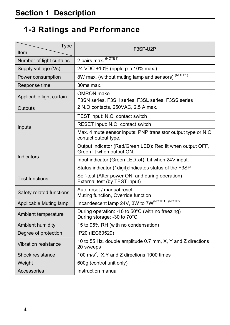## **1-3 Ratings and Performance**

| <b>Type</b><br>Item      | F3SP-U2P                                                                                |  |
|--------------------------|-----------------------------------------------------------------------------------------|--|
| Number of light curtains | 2 pairs max. (NOTE1)                                                                    |  |
| Supply voltage (Vs)      | 24 VDC ±10% (ripple p-p 10% max.)                                                       |  |
| Power consumption        | 8W max. (without muting lamp and sensors) (NOTE1)                                       |  |
| Response time            | 30ms max.                                                                               |  |
| Applicable light curtain | OMRON make<br>F3SN series, F3SH series, F3SL series, F3SS series                        |  |
| Outputs                  | 2 N.O contacts, 250VAC, 2.5 A max.                                                      |  |
|                          | TEST input: N.C. contact switch                                                         |  |
| Inputs                   | RESET input: N.O. contact switch                                                        |  |
|                          | Max. 4 mute sensor inputs: PNP transistor output type or N.O<br>contact output type.    |  |
|                          | Output indicator (Red/Green LED): Red lit when output OFF,<br>Green lit when output ON. |  |
| Indicators               | Input indicator (Green LED x4): Lit when 24V input.                                     |  |
|                          | Status indicator (1digit): Indicates status of the F3SP                                 |  |
| <b>Test functions</b>    | Self-test (After power ON, and during operation)<br>External test (by TEST input)       |  |
| Safety-related functions | Auto reset / manual reset<br>Muting function, Override function                         |  |
| Applicable Muting lamp   | Incandescent lamp 24V, 3W to $\overline{7W^{(NOTE1)(NOTE2)}}$                           |  |
| Ambient temperature      | During operation: -10 to 50°C (with no freezing)<br>During storage: -30 to 70°C         |  |
| Ambient humidity         | 15 to 95% RH (with no condensation)                                                     |  |
| Degree of protection     | IP20 (IEC60529)                                                                         |  |
| Vibration resistance     | 10 to 55 Hz, double amplitude 0.7 mm, X, Y and Z directions<br>20 sweeps                |  |
| Shock resistance         | 100 m/s <sup>2</sup> , X, Y and Z directions 1000 times                                 |  |
| Weight                   | 600g (control unit only)                                                                |  |
| Accessories              | Instruction manual                                                                      |  |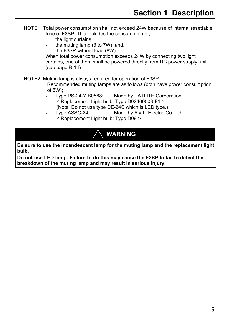- NOTE1: Total power consumption shall not exceed 24W because of internal resettable fuse of F3SP. This includes the consumption of;
	- the light curtains,
	- the muting lamp  $(3$  to  $7W$ ), and,
	- the F3SP without load (8W).

When total power consumption exceeds 24W by connecting two light curtains, one of them shall be powered directly from DC power supply unit. (see page B-14)

NOTE2: Muting lamp is always required for operation of F3SP.

Recommended muting lamps are as follows (both have power consumption of 5W);

- Type PS-24-Y B0568: Made by PATLITE Corporation < Replacement Light bulb: Type D02400503-F1 > (Note: Do not use type DE-24S which is LED type.)
- Type ASSC-24: Made by Asahi Electric Co. Ltd.
- < Replacement Light bulb: Type D09 >

### **WARNING**

**Be sure to use the incandescent lamp for the muting lamp and the replacement light bulb.** 

**Do not use LED lamp. Failure to do this may cause the F3SP to fail to detect the breakdown of the muting lamp and may result in serious injury.**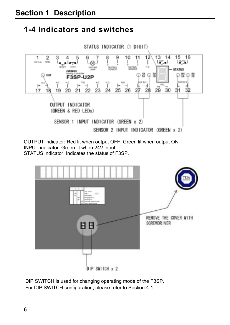### **1-4 Indicators and switches**



OUTPUT indicator: Red lit when output OFF, Green lit when output ON. INPUT indicator: Green lit when 24V input. STATUS indicator: Indicates the status of F3SP.



DIP SWITCH is used for changing operating mode of the F3SP. For DIP SWITCH configuration, please refer to Section 4-1.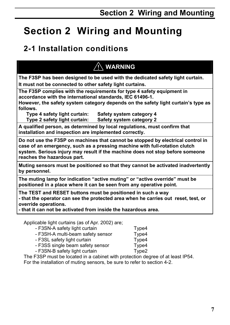### **2-1 Installation conditions**

### **WARNING**

**The F3SP has been designed to be used with the dedicated safety light curtain. It must not be connected to other safety light curtains.**

**The F3SP complies with the requirements for type 4 safety equipment in accordance with the international standards, IEC 61496-1.** 

**However, the safety system category depends on the safety light curtain's type as follows.** 

**Type 4 safety light curtain: Safety system category 4 Type 2 safety light curtain: Safety system category 2** 

**A qualified person, as determined by local regulations, must confirm that installation and inspection are implemented correctly.** 

**Do not use the F3SP on machines that cannot be stopped by electrical control in case of an emergency, such as a pressing machine with full-rotation clutch system. Serious injury may result if the machine does not stop before someone reaches the hazardous part.** 

**Muting sensors must be positioned so that they cannot be activated inadvertently by personnel.** 

**The muting lamp for indication "active muting" or "active override" must be positioned in a place where it can be seen from any operative point.** 

**The TEST and RESET buttons must be positioned in such a way - that the operator can see the protected area when he carries out reset, test, or override operations.** 

**- that it can not be activated from inside the hazardous area.** 

Applicable light curtains (as of Apr. 2002) are;

 - F3SN-A safety light curtain Type4 - F3SH-A multi-beam safety sensor Type4 - F3SL safety light curtain Type4 - F3SS single beam safety sensor Type4 - F3SN-B safety light curtain Type2

The F3SP must be located in a cabinet with protection degree of at least IP54. For the installation of muting sensors, be sure to refer to section 4-2.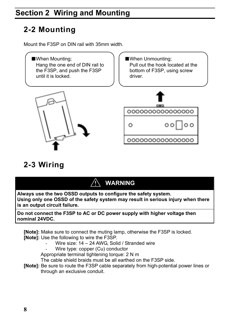### **2-2 Mounting**

Mount the F3SP on DIN rail with 35mm width.



### **2-3 Wiring**

### **WARNING**

**Always use the two OSSD outputs to configure the safety system. Using only one OSSD of the safety system may result in serious injury when there is an output circuit failure.** 

**Do not connect the F3SP to AC or DC power supply with higher voltage then nominal 24VDC.** 

**[Note]:** Make sure to connect the muting lamp, otherwise the F3SP is locked. **[Note]:** Use the following to wire the F3SP.

- Wire size: 14 24 AWG, Solid / Stranded wire
- Wire type: copper (Cu) conductor

Appropriate terminal tightening torque: 2 N m

The cable shield braids must be all earthed on the F3SP side.

**[Note]:** Be sure to route the F3SP cable separately from high-potential power lines or through an exclusive conduit.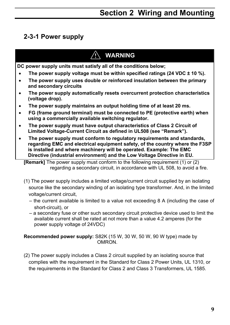#### **2-3-1 Power supply**

#### **WARNING**

**DC power supply units must satisfy all of the conditions below;** 

- **The power supply voltage must be within specified ratings (24 VDC ± 10 %).**
- **The power supply uses double or reinforced insulation between the primary and secondary circuits**
- **The power supply automatically resets overcurrent protection characteristics (voltage drop).**
- **The power supply maintains an output holding time of at least 20 ms.**
- **FG (frame ground terminal) must be connected to PE (protective earth) when using a commercially available switching regulator.**
- **The power supply must have output characteristics of Class 2 Circuit of Limited Voltage-Current Circuit as defined in UL508 (see "Remark").**
- **The power supply must conform to regulatory requirements and standards, regarding EMC and electrical equipment safety, of the country where the F3SP is installed and where machinery will be operated. Example: The EMC Directive (industrial environment) and the Low Voltage Directive in EU.**

**[Remark]** The power supply must conform to the following requirement (1) or (2) regarding a secondary circuit, in accordance with UL 508, to avoid a fire.

- (1) The power supply includes a limited voltage/current circuit supplied by an isolating source like the secondary winding of an isolating type transformer. And, in the limited voltage/current circuit,
	- the current available is limited to a value not exceeding 8 A (including the case of short-circuit), or
	- a secondary fuse or other such secondary circuit protective device used to limit the available current shall be rated at not more than a value 4.2 amperes (for the power supply voltage of 24VDC)

**Recommended power supply:** S82K (15 W, 30 W, 50 W, 90 W type) made by OMRON.

(2) The power supply includes a Class 2 circuit supplied by an isolating source that complies with the requirement in the Standard for Class 2 Power Units, UL 1310, or the requirements in the Standard for Class 2 and Class 3 Transformers, UL 1585.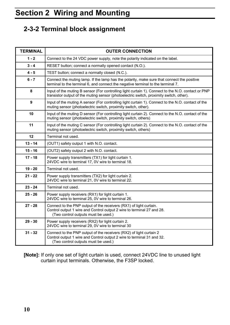#### **2-3-2 Terminal block assignment**

| <b>TERMINAL</b> | <b>OUTER CONNECTION</b>                                                                                                                                                                       |
|-----------------|-----------------------------------------------------------------------------------------------------------------------------------------------------------------------------------------------|
| $1 - 2$         | Connect to the 24 VDC power supply, note the polarity indicated on the label.                                                                                                                 |
| $3 - 4$         | RESET button; connect a normally opened contact (N.O.).                                                                                                                                       |
| $4 - 5$         | TEST button; connect a normally closed (N.C.).                                                                                                                                                |
| $6 - 7$         | Connect the muting lamp. If the lamp has the polarity, make sure that connect the positive<br>terminal to the terminal 6, and connect the negative terminal to the terminal 7.                |
| 8               | Input of the muting B sensor (For controlling light curtain 1). Connect to the N.O. contact or PNP<br>transistor output of the muting sensor (photoelectric switch, proximity switch, other). |
| 9               | Input of the muting A sensor (For controlling light curtain 1). Connect to the N.O. contact of the<br>muting sensor (photoelectric switch, proximity switch, other).                          |
| 10              | Input of the muting D sensor (For controlling light curtain 2). Connect to the N.O. contact of the<br>muting sensor (photoelectric switch, proximity switch, others)                          |
| 11              | Input of the muting C sensor (For controlling light curtain 2). Connect to the N.O. contact of the<br>muting sensor (photoelectric switch, proximity switch, others)                          |
| 12              | Terminal not used.                                                                                                                                                                            |
| $13 - 14$       | (OUT1) safety output 1 with N.O. contact.                                                                                                                                                     |
| $15 - 16$       | (OUT2) safety output 2 with N.O. contact.                                                                                                                                                     |
| $17 - 18$       | Power supply transmitters (TX1) for light curtain 1.<br>24VDC wire to terminal 17, 0V wire to terminal 18.                                                                                    |
| $19 - 20$       | Terminal not used.                                                                                                                                                                            |
| $21 - 22$       | Power supply transmitters (TX2) for light curtain 2.<br>24VDC wire to terminal 21, 0V wire to terminal 22.                                                                                    |
| $23 - 24$       | Terminal not used.                                                                                                                                                                            |
| $25 - 26$       | Power supply receivers (RX1) for light curtain 1.<br>24VDC wire to terminal 25, 0V wire to terminal 26.                                                                                       |
| $27 - 28$       | Connect to the PNP output of the receivers (RX1) of light curtain.<br>Control output 1 wire and Control output 2 wire to terminal 27 and 28.<br>(Two control outputs must be used.)           |
| $29 - 30$       | Power supply receivers (RX2) for light curtain 2.<br>24VDC wire to terminal 29, 0V wire to terminal 30                                                                                        |
| $31 - 32$       | Connect to the PNP output of the receivers (RX2) of light curtain 2<br>Control output 1 wire and Control output 2 wire to terminal 31 and 32.<br>(Two control outputs must be used.)          |

**[Note]:** If only one set of light curtain is used, connect 24VDC line to unused light curtain input terminals. Otherwise, the F3SP locked.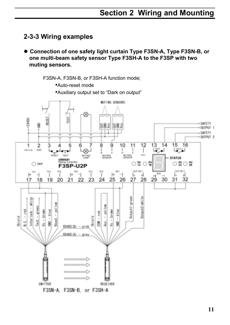#### **2-3-3 Wiring examples**

● Connection of one safety light curtain Type F3SN-A, Type F3SN-B, or **one multi-beam safety sensor Type F3SH-A to the F3SP with two muting sensors.** 

F3SN-A, F3SN-B, or F3SH-A function mode;

•Auto-reset mode

•Auxiliary output set to "Dark on output"

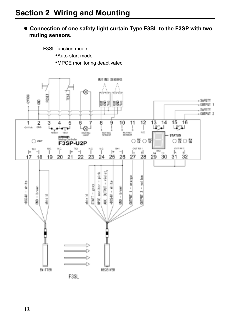#### $\bullet$  **Connection of one safety light curtain Type F3SL to the F3SP with two muting sensors.**

F3SL function mode

•Auto-start mode

•MPCE monitoring deactivated

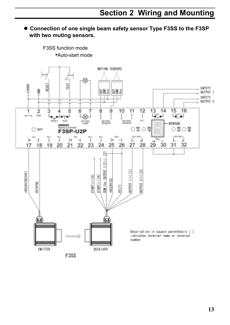#### ● Connection of one single beam safety sensor Type F3SS to the F3SP **with two muting sensors.**

•Auto-start mode MUTING SENSORS ⊗ +24HDC EST iš SAFETY g 능용의 보통의 OUTPUT 1 SAFETY OUTPUT 2 8  $12$  $\overline{13}$  $14$  $\overline{15}$ 16  $\overline{1}$  $\overline{2}$ 3 Δ 5 6 9 10  $11$ List of L<sup>our</sup> LI 1041700 CAO ï ı NO. ma) iит TEST 85% **BLTNG** 盟 **STATUS** omnon  $O$   $^{88}_{48}$   $O$   $^{88}_{49}$  $\circ$   $\frac{12}{20}$   $\circ$   $\frac{12}{20}$  $\bigcap$  out F3SP-U2P **GUT RK 1** OUT RE 2 TKI M C N/C TKI Ť (Kack)  $\mathbf{r}$  $\overline{\phantom{0}}$ ï  $\mathsf{H}$ **Pik2**  $|+$  $\mathord{\text{--}}$ Ī.  $\mathbf{d}$ l۰  $\mathbf{I}$ 1 LA. 24 27 23 25 26 28 29 30 31 32 17 18 19 20 21 22 図 XM for 0UTPUT 1/2(-)  $OUTPUT 1(+) [1]$  $J$  (+)  $2 (+)$  [3] OC24V [DC24V] START (+) [5] START(-)[4] 0024V[6] **DVERTNE** CCIAO ùш) Description in square parenthesis [ ] indicates terminal name or terminal number. **EMITTER RECEIVER** 

F3SS

F3SS function mode

**13**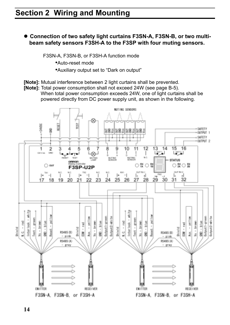● Connection of two safety light curtains F3SN-A, F3SN-B, or two multi**beam safety sensors F3SH-A to the F3SP with four muting sensors.** 

F3SN-A, F3SN-B, or F3SH-A function mode

- •Auto-reset mode
- •Auxiliary output set to "Dark on output"
- **[Note]:** Mutual interference between 2 light curtains shall be prevented.
- **[Note]:** Total power consumption shall not exceed 24W (see page B-5). When total power consumption exceeds 24W, one of light curtains shall be powered directly from DC power supply unit, as shown in the following.

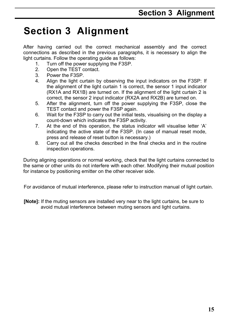# **Section 3 Alignment**

After having carried out the correct mechanical assembly and the correct connections as described in the previous paragraphs, it is necessary to align the light curtains. Follow the operating guide as follows:

- 1. Turn off the power supplying the F3SP.
- 2. Open the TEST contact.
- 3. Power the F3SP.
- 4. Align the light curtain by observing the input indicators on the F3SP: If the alignment of the light curtain 1 is correct, the sensor 1 input indicator (RX1A and RX1B) are turned on. If the alignment of the light curtain 2 is correct, the sensor 2 input indicator (RX2A and RX2B) are turned on.
- 5. After the alignment, turn off the power supplying the F3SP, close the TEST contact and power the F3SP again.
- 6. Wait for the F3SP to carry out the initial tests, visualising on the display a count-down which indicates the F3SP activity.
- 7. At the end of this operation, the status indicator will visualise letter 'A' indicating the active state of the F3SP. (In case of manual reset mode, press and release of reset button is necessary.)
- 8. Carry out all the checks described in the final checks and in the routine inspection operations.

During aligning operations or normal working, check that the light curtains connected to the same or other units do not interfere with each other. Modifying their mutual position for instance by positioning emitter on the other receiver side.

For avoidance of mutual interference, please refer to instruction manual of light curtain.

**[Note]:** If the muting sensors are installed very near to the light curtains, be sure to avoid mutual interference between muting sensors and light curtains.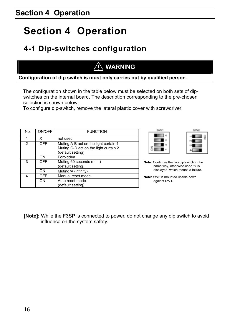# **Section 4 Operation**

### **4-1 Dip-switches configuration**

### **WARNING**

**Configuration of dip switch is must only carries out by qualified person.** 

The configuration shown in the table below must be selected on both sets of dipswitches on the internal board. The description corresponding to the pre-chosen selection is shown below.

To configure dip-switch, remove the lateral plastic cover with screwdriver.

| No. | ON/OFF     | <b>FUNCTION</b>                                                                                     |  |
|-----|------------|-----------------------------------------------------------------------------------------------------|--|
|     | x          | not used                                                                                            |  |
| 2   | OFF        | Muting A-B act on the light curtain 1<br>Muting C-D act on the light curtain 2<br>(default setting) |  |
|     | ON         | Forbidden                                                                                           |  |
| 3   | <b>OFF</b> | Muting 60 seconds (min.)<br>(default setting)                                                       |  |
|     | ON         | Muting $\infty$ (infinity)                                                                          |  |
| 4   | OFF        | Manual reset mode                                                                                   |  |
|     | ON         | Auto reset mode                                                                                     |  |
|     |            | (default setting)                                                                                   |  |





**Note:** Configure the two dip switch in the same way, otherwise code '8' is displayed, which means a failure.

**Note:** SW2 is mounted upside down against SW1.

**[Note]:** While the F3SP is connected to power, do not change any dip switch to avoid influence on the system safety.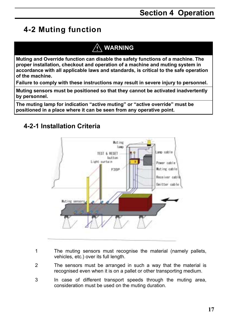### **4-2 Muting function**

#### **WARNING**

**Muting and Override function can disable the safety functions of a machine. The proper installation, checkout and operation of a machine and muting system in accordance with all applicable laws and standards, is critical to the safe operation of the machine.** 

**Failure to comply with these instructions may result in severe injury to personnel.** 

**Muting sensors must be positioned so that they cannot be activated inadvertently by personnel.** 

**The muting lamp for indication "active muting" or "active override" must be positioned in a place where it can be seen from any operative point.** 

#### **4-2-1 Installation Criteria**



- 1 The muting sensors must recognise the material (namely pallets, vehicles, etc.) over its full length.
- 2 The sensors must be arranged in such a way that the material is recognised even when it is on a pallet or other transporting medium.
- 3 In case of different transport speeds through the muting area, consideration must be used on the muting duration.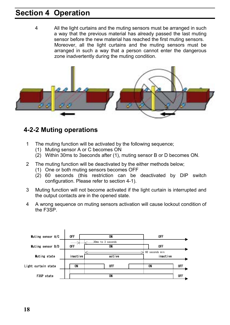### **Section 4 Operation**

4 All the light curtains and the muting sensors must be arranged in such a way that the previous material has already passed the last muting sensor before the new material has reached the first muting sensors. Moreover, all the light curtains and the muting sensors must be arranged in such a way that a person cannot enter the dangerous zone inadvertently during the muting condition.



#### **4-2-2 Muting operations**

- 1 The muting function will be activated by the following sequence;
	- (1) Muting sensor A or C becomes ON
	- (2) Within 30ms to 3seconds after (1), muting sensor B or D becomes ON.
- 2 The muting function will be deactivated by the either methods below;
	- (1) One or both muting sensors becomes OFF
	- (2) 60 seconds (this restriction can be deactivated by DIP switch configuration. Please refer to section 4-1).
- 3 Muting function will not become activated if the light curtain is interrupted and the output contacts are in the opened state.
- 4 A wrong sequence on muting sensors activation will cause lockout condition of the F3SP.

| Muting sensor A/C   | 0FF             | ON                      | <b>OFF</b>                  |     |
|---------------------|-----------------|-------------------------|-----------------------------|-----|
| Muting sensor B/D   | ╱<br><b>OFF</b> | 30ms to 3 seconds<br>ON | 0FF                         |     |
| Muting state        | inactive        | active                  | 60 seconds min.<br>inactive |     |
| Light curtain state | ON              | 0FF                     | ON                          | 0FF |
| F3SP state          |                 | ON                      |                             | OFF |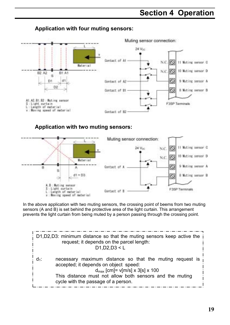### **Section 4 Operation**

#### **Application with four muting sensors:**



#### **Application with two muting sensors:**



In the above application with two muting sensors, the crossing point of beems from two muting sensors (A and B) is set behind the protective area of the light curtain. This arrangement prevents the light curtain from being muted by a person passing through the crossing point.

D1,D2,D3: minimum distance so that the muting sensors keep active the  
request; it depends on the parcel length:  
\n
$$
D1, D2, D3 < L
$$
\n
$$
d_1:
$$
\n
$$
D1, D2, D3 < L
$$
\n
$$
d_1:
$$
\n
$$
D1, D2, D3 < L
$$
\n
$$
d_1:
$$
\n
$$
d_1:
$$
\n
$$
d_1:
$$
\n
$$
d_1:
$$
\n
$$
d_1:
$$
\n
$$
d_1:
$$
\n
$$
d_1:
$$
\n
$$
d_1:
$$
\n
$$
d_1:
$$
\n
$$
d_1:
$$
\n
$$
d_1:
$$
\n
$$
d_1:
$$
\n
$$
d_1:
$$
\n
$$
d_1:
$$
\n
$$
d_1:
$$
\n
$$
d_1:
$$
\n
$$
d_1:
$$
\n
$$
d_1:
$$
\n
$$
d_1:
$$
\n
$$
d_1:
$$
\n
$$
d_1:
$$
\n
$$
d_1:
$$
\n
$$
d_1:
$$
\n
$$
d_1:
$$
\n
$$
d_1:
$$
\n
$$
d_1:
$$
\n
$$
d_1:
$$
\n
$$
d_1:
$$
\n
$$
d_1:
$$
\n
$$
d_1:
$$
\n
$$
d_1:
$$
\n
$$
d_1:
$$
\n
$$
d_1:
$$
\n
$$
d_1:
$$
\n
$$
d_1:
$$
\n
$$
d_1:
$$
\n
$$
d_1:
$$
\n
$$
d_1:
$$
\n
$$
d_1:
$$
\n
$$
d_1:
$$
\n
$$
d_1:
$$
\n
$$
d_1:
$$
\n
$$
d_1:
$$
\n
$$
d_1:
$$
\n
$$
d_1:
$$
\n
$$
d_1:
$$
\n
$$
d_1:
$$
\n
$$
d_1:
$$
\n
$$
d_1:
$$
\n<math display="</p>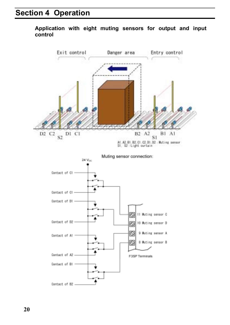#### **Application with eight muting sensors for output and input control**

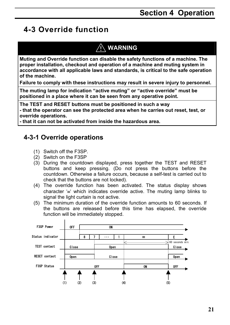### **4-3 Override function**

### $\land$  WARNING

**Muting and Override function can disable the safety functions of a machine. The proper installation, checkout and operation of a machine and muting system in accordance with all applicable laws and standards, is critical to the safe operation of the machine.** 

**Failure to comply with these instructions may result in severe injury to personnel.** 

**The muting lamp for indication "active muting" or "active override" must be positioned in a place where it can be seen from any operative point.** 

**The TEST and RESET buttons must be positioned in such a way - that the operator can see the protected area when he carries out reset, test, or override operations.** 

**- that it can not be activated from inside the hazardous area.** 

#### **4-3-1 Override operations**

- (1) Switch off the F3SP.
- (2) Switch on the F3SP
- (3) During the countdown displayed, press together the TEST and RESET buttons and keep pressing. (Do not press the buttons before the countdown. Otherwise a failure occurs, because a self-test is carried out to check that the buttons are not locked).
- (4) The override function has been activated. The status display shows character '≡' which indicates override active. The muting lamp blinks to signal the light curtain is not active.
- (5) The minimum duration of the override function amounts to 60 seconds. If the buttons are released before this time has elapsed, the override function will be immediately stopped.

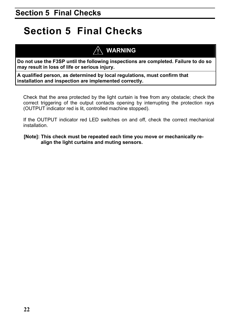# **Section 5 Final Checks**

### **WARNING**

**Do not use the F3SP until the following inspections are completed. Failure to do so may result in loss of life or serious injury.** 

**A qualified person, as determined by local regulations, must confirm that installation and inspection are implemented correctly.** 

Check that the area protected by the light curtain is free from any obstacle; check the correct triggering of the output contacts opening by interrupting the protection rays (OUTPUT indicator red is lit, controlled machine stopped).

If the OUTPUT indicator red LED switches on and off, check the correct mechanical installation.

**[Note]: This check must be repeated each time you move or mechanically realign the light curtains and muting sensors.**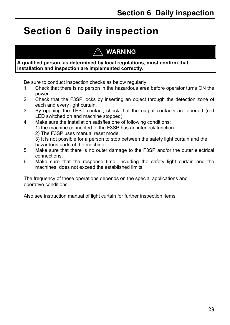# **Section 6 Daily inspection**

### **WARNING**

#### **A qualified person, as determined by local regulations, must confirm that installation and inspection are implemented correctly.**

Be sure to conduct inspection checks as below regularly.

- 1. Check that there is no person in the hazardous area before operator turns ON the power.
- 2. Check that the F3SP locks by inserting an object through the detection zone of each and every light curtain.
- 3. By opening the TEST contact, check that the output contacts are opened (red LED switched on and machine stopped).
- 4. Make sure the installation satisfies one of following conditions;
	- 1) the machine connected to the F3SP has an interlock function.
	- 2) The F3SP uses manual reset mode.

3) It is not possible for a person to stop between the safety light curtain and the hazardous parts of the machine.

- 5. Make sure that there is no outer damage to the F3SP and/or the outer electrical connections.
- 6. Make sure that the response time, including the safety light curtain and the machines, does not exceed the established limits.

The frequency of these operations depends on the special applications and operative conditions.

Also see instruction manual of light curtain for further inspection items.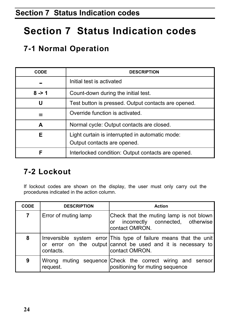# **Section 7 Status Indication codes**

### **7-1 Normal Operation**

| <b>CODE</b> | <b>DESCRIPTION</b>                                  |  |
|-------------|-----------------------------------------------------|--|
|             | Initial test is activated                           |  |
| $8 - 1$     | Count-down during the initial test.                 |  |
| U           | Test button is pressed. Output contacts are opened. |  |
| ≡           | Override function is activated.                     |  |
| A           | Normal cycle: Output contacts are closed.           |  |
| Е           | Light curtain is interrupted in automatic mode:     |  |
|             | Output contacts are opened.                         |  |
| F           | Interlocked condition: Output contacts are opened.  |  |

### **7-2 Lockout**

If lockout codes are shown on the display, the user must only carry out the procedures indicated in the action column.

| <b>CODE</b> | <b>DESCRIPTION</b>   | <b>Action</b>                                                                                                                                        |
|-------------|----------------------|------------------------------------------------------------------------------------------------------------------------------------------------------|
| 7           | Error of muting lamp | Check that the muting lamp is not blown<br>or incorrectly connected, otherwise<br>contact OMRON.                                                     |
| 8           | contacts.            | Irreversible system error This type of failure means that the unit<br>or error on the output cannot be used and it is necessary to<br>contact OMRON. |
| 9           | request.             | Wrong muting sequence Check the correct wiring and sensor<br>positioning for muting sequence                                                         |